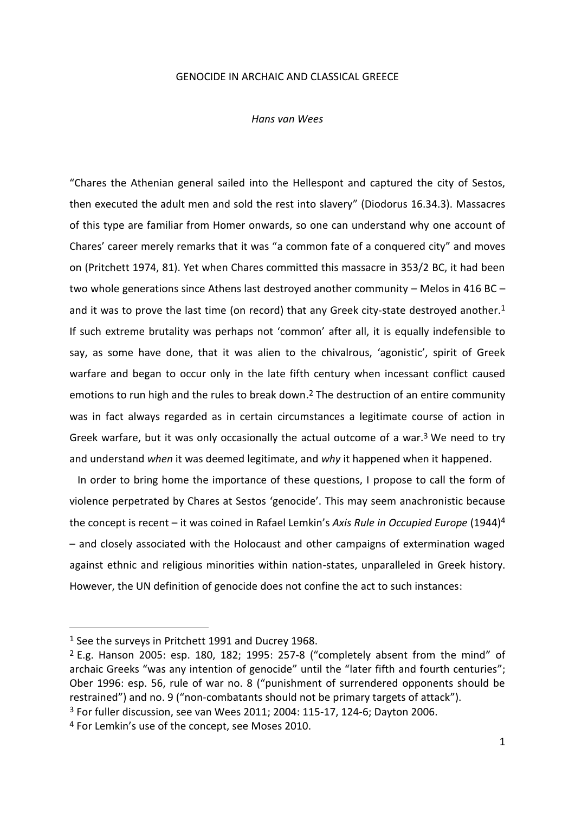### GENOCIDE IN ARCHAIC AND CLASSICAL GREECE

*Hans van Wees*

"Chares the Athenian general sailed into the Hellespont and captured the city of Sestos, then executed the adult men and sold the rest into slavery" (Diodorus 16.34.3). Massacres of this type are familiar from Homer onwards, so one can understand why one account of Chares' career merely remarks that it was "a common fate of a conquered city" and moves on (Pritchett 1974, 81). Yet when Chares committed this massacre in 353/2 BC, it had been two whole generations since Athens last destroyed another community – Melos in 416 BC – and it was to prove the last time (on record) that any Greek city-state destroyed another.<sup>1</sup> If such extreme brutality was perhaps not 'common' after all, it is equally indefensible to say, as some have done, that it was alien to the chivalrous, 'agonistic', spirit of Greek warfare and began to occur only in the late fifth century when incessant conflict caused emotions to run high and the rules to break down. 2 The destruction of an entire community was in fact always regarded as in certain circumstances a legitimate course of action in Greek warfare, but it was only occasionally the actual outcome of a war.<sup>3</sup> We need to try and understand *when* it was deemed legitimate, and *why* it happened when it happened.

 In order to bring home the importance of these questions, I propose to call the form of violence perpetrated by Chares at Sestos 'genocide'. This may seem anachronistic because the concept is recent – it was coined in Rafael Lemkin's *Axis Rule in Occupied Europe* (1944)4 – and closely associated with the Holocaust and other campaigns of extermination waged against ethnic and religious minorities within nation-states, unparalleled in Greek history. However, the UN definition of genocide does not confine the act to such instances:

1

3 For fuller discussion, see van Wees 2011; 2004: 115-17, 124-6; Dayton 2006.

<sup>1</sup> See the surveys in Pritchett 1991 and Ducrey 1968.

<sup>2</sup> E.g. Hanson 2005: esp. 180, 182; 1995: 257-8 ("completely absent from the mind" of archaic Greeks "was any intention of genocide" until the "later fifth and fourth centuries"; Ober 1996: esp. 56, rule of war no. 8 ("punishment of surrendered opponents should be restrained") and no. 9 ("non-combatants should not be primary targets of attack").

<sup>4</sup> For Lemkin's use of the concept, see Moses 2010.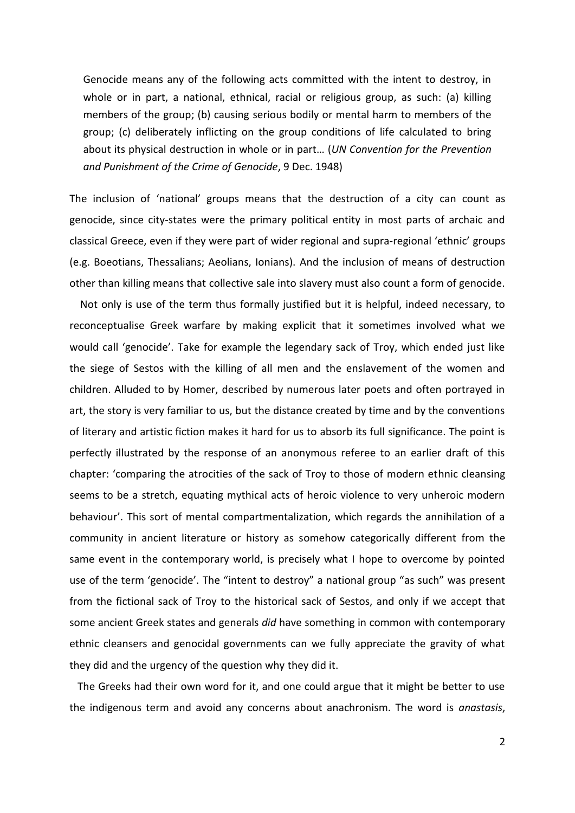Genocide means any of the following acts committed with the intent to destroy, in whole or in part, a national, ethnical, racial or religious group, as such: (a) killing members of the group; (b) causing serious bodily or mental harm to members of the group; (c) deliberately inflicting on the group conditions of life calculated to bring about its physical destruction in whole or in part… (*UN Convention for the Prevention and Punishment of the Crime of Genocide*, 9 Dec. 1948)

The inclusion of 'national' groups means that the destruction of a city can count as genocide, since city-states were the primary political entity in most parts of archaic and classical Greece, even if they were part of wider regional and supra-regional 'ethnic' groups (e.g. Boeotians, Thessalians; Aeolians, Ionians). And the inclusion of means of destruction other than killing means that collective sale into slavery must also count a form of genocide.

 Not only is use of the term thus formally justified but it is helpful, indeed necessary, to reconceptualise Greek warfare by making explicit that it sometimes involved what we would call 'genocide'. Take for example the legendary sack of Troy, which ended just like the siege of Sestos with the killing of all men and the enslavement of the women and children. Alluded to by Homer, described by numerous later poets and often portrayed in art, the story is very familiar to us, but the distance created by time and by the conventions of literary and artistic fiction makes it hard for us to absorb its full significance. The point is perfectly illustrated by the response of an anonymous referee to an earlier draft of this chapter: 'comparing the atrocities of the sack of Troy to those of modern ethnic cleansing seems to be a stretch, equating mythical acts of heroic violence to very unheroic modern behaviour'. This sort of mental compartmentalization, which regards the annihilation of a community in ancient literature or history as somehow categorically different from the same event in the contemporary world, is precisely what I hope to overcome by pointed use of the term 'genocide'. The "intent to destroy" a national group "as such" was present from the fictional sack of Troy to the historical sack of Sestos, and only if we accept that some ancient Greek states and generals *did* have something in common with contemporary ethnic cleansers and genocidal governments can we fully appreciate the gravity of what they did and the urgency of the question why they did it.

 The Greeks had their own word for it, and one could argue that it might be better to use the indigenous term and avoid any concerns about anachronism. The word is *anastasis*,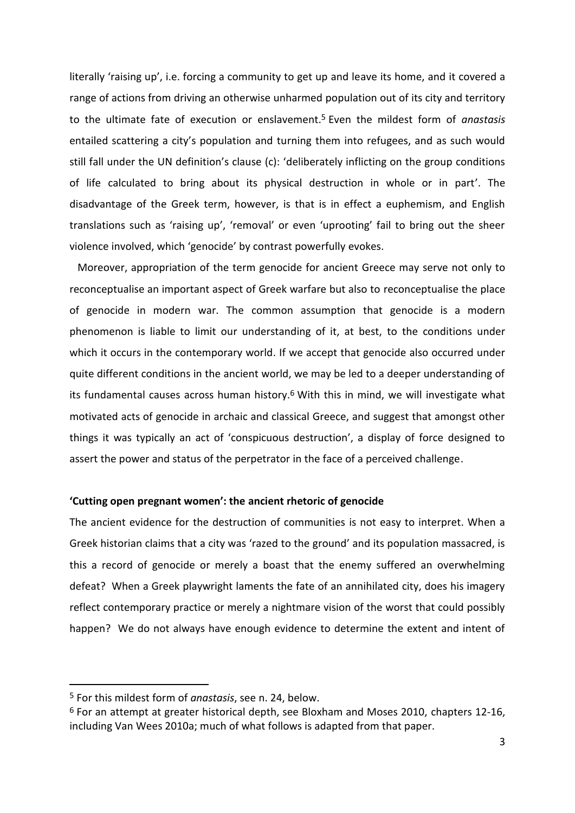literally 'raising up', i.e. forcing a community to get up and leave its home, and it covered a range of actions from driving an otherwise unharmed population out of its city and territory to the ultimate fate of execution or enslavement. 5 Even the mildest form of *anastasis* entailed scattering a city's population and turning them into refugees, and as such would still fall under the UN definition's clause (c): 'deliberately inflicting on the group conditions of life calculated to bring about its physical destruction in whole or in part'. The disadvantage of the Greek term, however, is that is in effect a euphemism, and English translations such as 'raising up', 'removal' or even 'uprooting' fail to bring out the sheer violence involved, which 'genocide' by contrast powerfully evokes.

 Moreover, appropriation of the term genocide for ancient Greece may serve not only to reconceptualise an important aspect of Greek warfare but also to reconceptualise the place of genocide in modern war. The common assumption that genocide is a modern phenomenon is liable to limit our understanding of it, at best, to the conditions under which it occurs in the contemporary world. If we accept that genocide also occurred under quite different conditions in the ancient world, we may be led to a deeper understanding of its fundamental causes across human history.<sup>6</sup> With this in mind, we will investigate what motivated acts of genocide in archaic and classical Greece, and suggest that amongst other things it was typically an act of 'conspicuous destruction', a display of force designed to assert the power and status of the perpetrator in the face of a perceived challenge.

# **'Cutting open pregnant women': the ancient rhetoric of genocide**

The ancient evidence for the destruction of communities is not easy to interpret. When a Greek historian claims that a city was 'razed to the ground' and its population massacred, is this a record of genocide or merely a boast that the enemy suffered an overwhelming defeat? When a Greek playwright laments the fate of an annihilated city, does his imagery reflect contemporary practice or merely a nightmare vision of the worst that could possibly happen? We do not always have enough evidence to determine the extent and intent of

<sup>5</sup> For this mildest form of *anastasis*, see n. 24, below.

<sup>6</sup> For an attempt at greater historical depth, see Bloxham and Moses 2010, chapters 12-16, including Van Wees 2010a; much of what follows is adapted from that paper.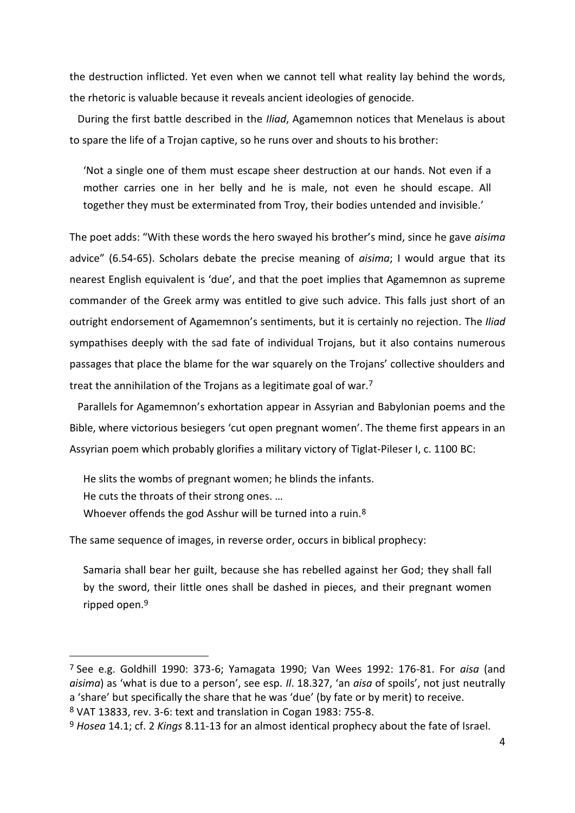the destruction inflicted. Yet even when we cannot tell what reality lay behind the words, the rhetoric is valuable because it reveals ancient ideologies of genocide.

 During the first battle described in the *Iliad*, Agamemnon notices that Menelaus is about to spare the life of a Trojan captive, so he runs over and shouts to his brother:

'Not a single one of them must escape sheer destruction at our hands. Not even if a mother carries one in her belly and he is male, not even he should escape. All together they must be exterminated from Troy, their bodies untended and invisible.'

The poet adds: "With these words the hero swayed his brother's mind, since he gave *aisima* advice" (6.54-65). Scholars debate the precise meaning of *aisima*; I would argue that its nearest English equivalent is 'due', and that the poet implies that Agamemnon as supreme commander of the Greek army was entitled to give such advice. This falls just short of an outright endorsement of Agamemnon's sentiments, but it is certainly no rejection. The *Iliad* sympathises deeply with the sad fate of individual Trojans, but it also contains numerous passages that place the blame for the war squarely on the Trojans' collective shoulders and treat the annihilation of the Trojans as a legitimate goal of war.7

 Parallels for Agamemnon's exhortation appear in Assyrian and Babylonian poems and the Bible, where victorious besiegers 'cut open pregnant women'. The theme first appears in an Assyrian poem which probably glorifies a military victory of Tiglat-Pileser I, c. 1100 BC:

He slits the wombs of pregnant women; he blinds the infants. He cuts the throats of their strong ones. … Whoever offends the god Asshur will be turned into a ruin.<sup>8</sup>

1

The same sequence of images, in reverse order, occurs in biblical prophecy:

Samaria shall bear her guilt, because she has rebelled against her God; they shall fall by the sword, their little ones shall be dashed in pieces, and their pregnant women ripped open.9

<sup>7</sup> See e.g. Goldhill 1990: 373-6; Yamagata 1990; Van Wees 1992: 176-81. For *aisa* (and *aisima*) as 'what is due to a person', see esp. *Il*. 18.327, 'an *aisa* of spoils', not just neutrally a 'share' but specifically the share that he was 'due' (by fate or by merit) to receive. 8 VAT 13833, rev. 3-6: text and translation in Cogan 1983: 755-8.

<sup>9</sup> *Hosea* 14.1; cf. 2 *Kings* 8.11-13 for an almost identical prophecy about the fate of Israel.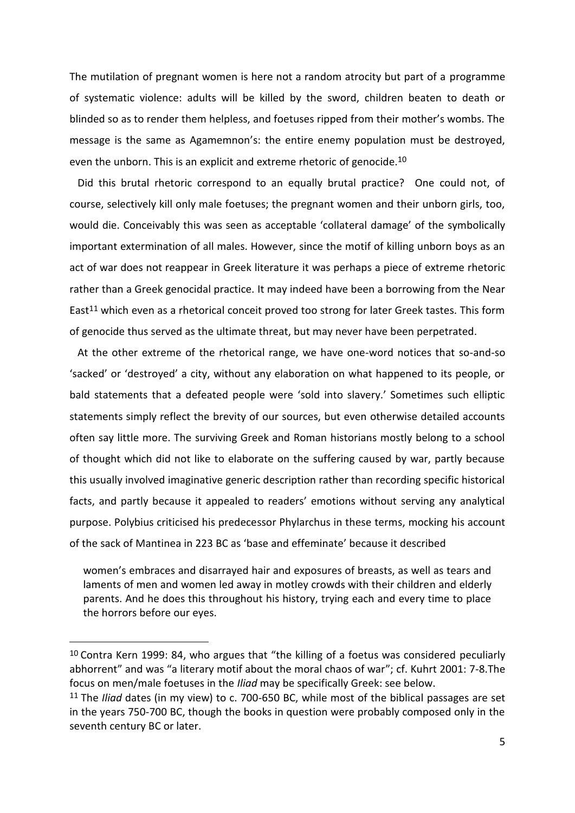The mutilation of pregnant women is here not a random atrocity but part of a programme of systematic violence: adults will be killed by the sword, children beaten to death or blinded so as to render them helpless, and foetuses ripped from their mother's wombs. The message is the same as Agamemnon's: the entire enemy population must be destroyed, even the unborn. This is an explicit and extreme rhetoric of genocide.10

 Did this brutal rhetoric correspond to an equally brutal practice? One could not, of course, selectively kill only male foetuses; the pregnant women and their unborn girls, too, would die. Conceivably this was seen as acceptable 'collateral damage' of the symbolically important extermination of all males. However, since the motif of killing unborn boys as an act of war does not reappear in Greek literature it was perhaps a piece of extreme rhetoric rather than a Greek genocidal practice. It may indeed have been a borrowing from the Near East<sup>11</sup> which even as a rhetorical conceit proved too strong for later Greek tastes. This form of genocide thus served as the ultimate threat, but may never have been perpetrated.

 At the other extreme of the rhetorical range, we have one-word notices that so-and-so 'sacked' or 'destroyed' a city, without any elaboration on what happened to its people, or bald statements that a defeated people were 'sold into slavery.' Sometimes such elliptic statements simply reflect the brevity of our sources, but even otherwise detailed accounts often say little more. The surviving Greek and Roman historians mostly belong to a school of thought which did not like to elaborate on the suffering caused by war, partly because this usually involved imaginative generic description rather than recording specific historical facts, and partly because it appealed to readers' emotions without serving any analytical purpose. Polybius criticised his predecessor Phylarchus in these terms, mocking his account of the sack of Mantinea in 223 BC as 'base and effeminate' because it described

women's embraces and disarrayed hair and exposures of breasts, as well as tears and laments of men and women led away in motley crowds with their children and elderly parents. And he does this throughout his history, trying each and every time to place the horrors before our eyes.

<sup>10</sup> Contra Kern 1999: 84, who argues that "the killing of a foetus was considered peculiarly abhorrent" and was "a literary motif about the moral chaos of war"; cf. Kuhrt 2001: 7-8.The focus on men/male foetuses in the *Iliad* may be specifically Greek: see below.

<sup>11</sup> The *Iliad* dates (in my view) to c. 700-650 BC, while most of the biblical passages are set in the years 750-700 BC, though the books in question were probably composed only in the seventh century BC or later.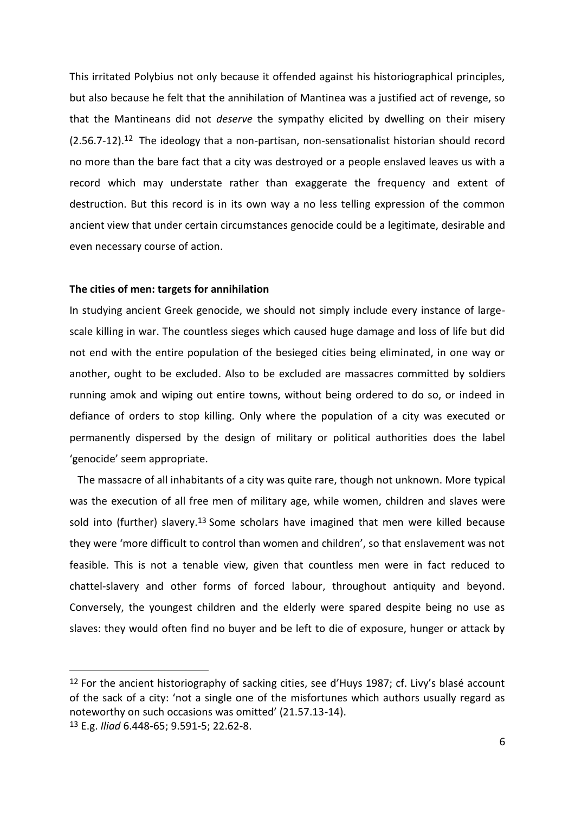This irritated Polybius not only because it offended against his historiographical principles, but also because he felt that the annihilation of Mantinea was a justified act of revenge, so that the Mantineans did not *deserve* the sympathy elicited by dwelling on their misery (2.56.7-12). 12 The ideology that a non-partisan, non-sensationalist historian should record no more than the bare fact that a city was destroyed or a people enslaved leaves us with a record which may understate rather than exaggerate the frequency and extent of destruction. But this record is in its own way a no less telling expression of the common ancient view that under certain circumstances genocide could be a legitimate, desirable and even necessary course of action.

### **The cities of men: targets for annihilation**

1

In studying ancient Greek genocide, we should not simply include every instance of largescale killing in war. The countless sieges which caused huge damage and loss of life but did not end with the entire population of the besieged cities being eliminated, in one way or another, ought to be excluded. Also to be excluded are massacres committed by soldiers running amok and wiping out entire towns, without being ordered to do so, or indeed in defiance of orders to stop killing. Only where the population of a city was executed or permanently dispersed by the design of military or political authorities does the label 'genocide' seem appropriate.

 The massacre of all inhabitants of a city was quite rare, though not unknown. More typical was the execution of all free men of military age, while women, children and slaves were sold into (further) slavery.<sup>13</sup> Some scholars have imagined that men were killed because they were 'more difficult to control than women and children', so that enslavement was not feasible. This is not a tenable view, given that countless men were in fact reduced to chattel-slavery and other forms of forced labour, throughout antiquity and beyond. Conversely, the youngest children and the elderly were spared despite being no use as slaves: they would often find no buyer and be left to die of exposure, hunger or attack by

<sup>&</sup>lt;sup>12</sup> For the ancient historiography of sacking cities, see d'Huys 1987; cf. Livy's blasé account of the sack of a city: 'not a single one of the misfortunes which authors usually regard as noteworthy on such occasions was omitted' (21.57.13-14). 13 E.g. *Iliad* 6.448-65; 9.591-5; 22.62-8.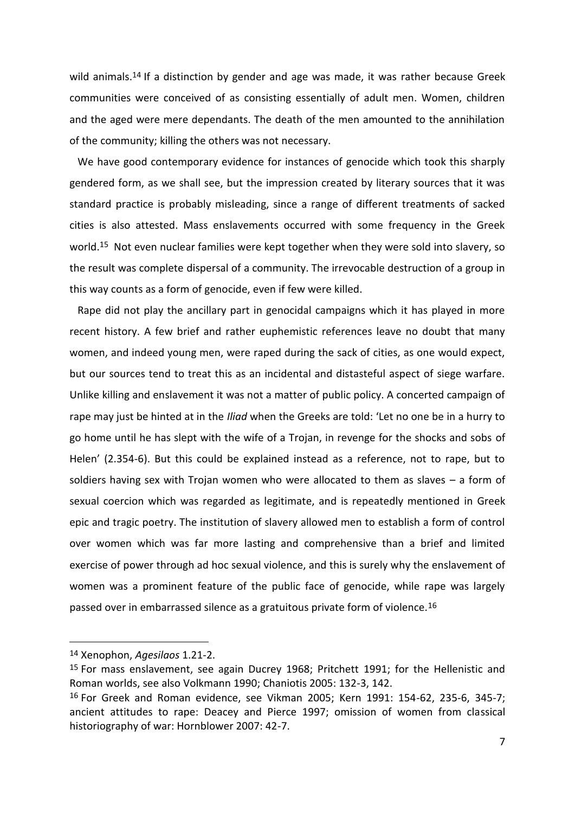wild animals.<sup>14</sup> If a distinction by gender and age was made, it was rather because Greek communities were conceived of as consisting essentially of adult men. Women, children and the aged were mere dependants. The death of the men amounted to the annihilation of the community; killing the others was not necessary.

 We have good contemporary evidence for instances of genocide which took this sharply gendered form, as we shall see, but the impression created by literary sources that it was standard practice is probably misleading, since a range of different treatments of sacked cities is also attested. Mass enslavements occurred with some frequency in the Greek world.<sup>15</sup> Not even nuclear families were kept together when they were sold into slavery, so the result was complete dispersal of a community. The irrevocable destruction of a group in this way counts as a form of genocide, even if few were killed.

 Rape did not play the ancillary part in genocidal campaigns which it has played in more recent history. A few brief and rather euphemistic references leave no doubt that many women, and indeed young men, were raped during the sack of cities, as one would expect, but our sources tend to treat this as an incidental and distasteful aspect of siege warfare. Unlike killing and enslavement it was not a matter of public policy. A concerted campaign of rape may just be hinted at in the *Iliad* when the Greeks are told: 'Let no one be in a hurry to go home until he has slept with the wife of a Trojan, in revenge for the shocks and sobs of Helen' (2.354-6). But this could be explained instead as a reference, not to rape, but to soldiers having sex with Trojan women who were allocated to them as slaves – a form of sexual coercion which was regarded as legitimate, and is repeatedly mentioned in Greek epic and tragic poetry. The institution of slavery allowed men to establish a form of control over women which was far more lasting and comprehensive than a brief and limited exercise of power through ad hoc sexual violence, and this is surely why the enslavement of women was a prominent feature of the public face of genocide, while rape was largely passed over in embarrassed silence as a gratuitous private form of violence.16

<sup>14</sup> Xenophon, *Agesilaos* 1.21-2.

<sup>15</sup> For mass enslavement, see again Ducrey 1968; Pritchett 1991; for the Hellenistic and Roman worlds, see also Volkmann 1990; Chaniotis 2005: 132-3, 142.

<sup>16</sup> For Greek and Roman evidence, see Vikman 2005; Kern 1991: 154-62, 235-6, 345-7; ancient attitudes to rape: Deacey and Pierce 1997; omission of women from classical historiography of war: Hornblower 2007: 42-7.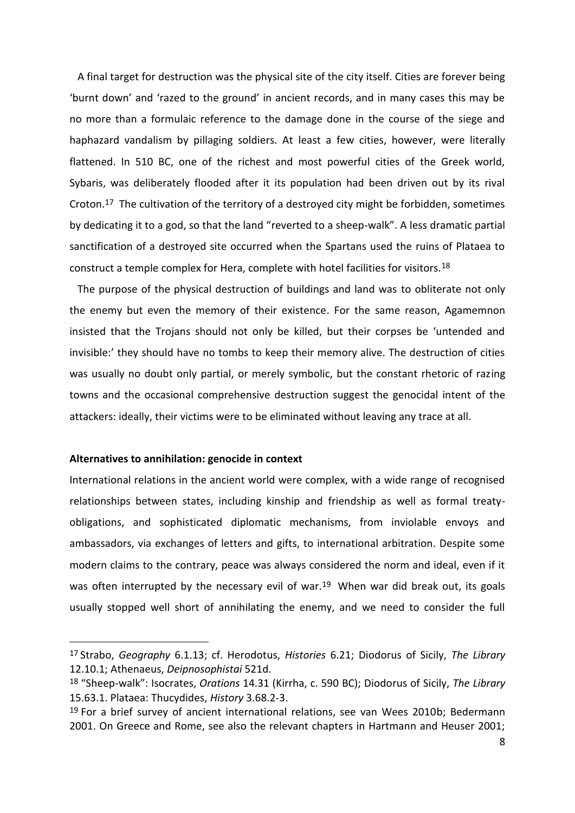A final target for destruction was the physical site of the city itself. Cities are forever being 'burnt down' and 'razed to the ground' in ancient records, and in many cases this may be no more than a formulaic reference to the damage done in the course of the siege and haphazard vandalism by pillaging soldiers. At least a few cities, however, were literally flattened. In 510 BC, one of the richest and most powerful cities of the Greek world, Sybaris, was deliberately flooded after it its population had been driven out by its rival Croton.17 The cultivation of the territory of a destroyed city might be forbidden, sometimes by dedicating it to a god, so that the land "reverted to a sheep-walk". A less dramatic partial sanctification of a destroyed site occurred when the Spartans used the ruins of Plataea to construct a temple complex for Hera, complete with hotel facilities for visitors.18

 The purpose of the physical destruction of buildings and land was to obliterate not only the enemy but even the memory of their existence. For the same reason, Agamemnon insisted that the Trojans should not only be killed, but their corpses be 'untended and invisible:' they should have no tombs to keep their memory alive. The destruction of cities was usually no doubt only partial, or merely symbolic, but the constant rhetoric of razing towns and the occasional comprehensive destruction suggest the genocidal intent of the attackers: ideally, their victims were to be eliminated without leaving any trace at all.

### **Alternatives to annihilation: genocide in context**

1

International relations in the ancient world were complex, with a wide range of recognised relationships between states, including kinship and friendship as well as formal treatyobligations, and sophisticated diplomatic mechanisms, from inviolable envoys and ambassadors, via exchanges of letters and gifts, to international arbitration. Despite some modern claims to the contrary, peace was always considered the norm and ideal, even if it was often interrupted by the necessary evil of war.<sup>19</sup> When war did break out, its goals usually stopped well short of annihilating the enemy, and we need to consider the full

<sup>17</sup> Strabo, *Geography* 6.1.13; cf. Herodotus, *Histories* 6.21; Diodorus of Sicily, *The Library* 12.10.1; Athenaeus, *Deipnosophistai* 521d.

<sup>18</sup> "Sheep-walk": Isocrates, *Orations* 14.31 (Kirrha, c. 590 BC); Diodorus of Sicily, *The Library* 15.63.1. Plataea: Thucydides, *History* 3.68.2-3.

<sup>&</sup>lt;sup>19</sup> For a brief survey of ancient international relations, see van Wees 2010b; Bedermann 2001. On Greece and Rome, see also the relevant chapters in Hartmann and Heuser 2001;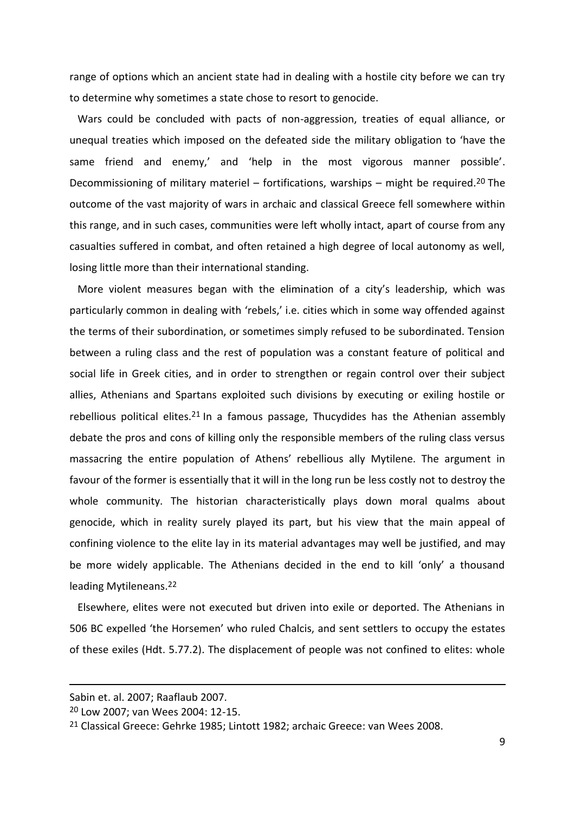range of options which an ancient state had in dealing with a hostile city before we can try to determine why sometimes a state chose to resort to genocide.

 Wars could be concluded with pacts of non-aggression, treaties of equal alliance, or unequal treaties which imposed on the defeated side the military obligation to 'have the same friend and enemy,' and 'help in the most vigorous manner possible'. Decommissioning of military materiel – fortifications, warships – might be required.<sup>20</sup> The outcome of the vast majority of wars in archaic and classical Greece fell somewhere within this range, and in such cases, communities were left wholly intact, apart of course from any casualties suffered in combat, and often retained a high degree of local autonomy as well, losing little more than their international standing.

 More violent measures began with the elimination of a city's leadership, which was particularly common in dealing with 'rebels,' i.e. cities which in some way offended against the terms of their subordination, or sometimes simply refused to be subordinated. Tension between a ruling class and the rest of population was a constant feature of political and social life in Greek cities, and in order to strengthen or regain control over their subject allies, Athenians and Spartans exploited such divisions by executing or exiling hostile or rebellious political elites.<sup>21</sup> In a famous passage, Thucydides has the Athenian assembly debate the pros and cons of killing only the responsible members of the ruling class versus massacring the entire population of Athens' rebellious ally Mytilene. The argument in favour of the former is essentially that it will in the long run be less costly not to destroy the whole community. The historian characteristically plays down moral qualms about genocide, which in reality surely played its part, but his view that the main appeal of confining violence to the elite lay in its material advantages may well be justified, and may be more widely applicable. The Athenians decided in the end to kill 'only' a thousand leading Mytileneans.22

 Elsewhere, elites were not executed but driven into exile or deported. The Athenians in 506 BC expelled 'the Horsemen' who ruled Chalcis, and sent settlers to occupy the estates of these exiles (Hdt. 5.77.2). The displacement of people was not confined to elites: whole

Sabin et. al. 2007; Raaflaub 2007.

<sup>20</sup> Low 2007; van Wees 2004: 12-15.

<sup>21</sup> Classical Greece: Gehrke 1985; Lintott 1982; archaic Greece: van Wees 2008.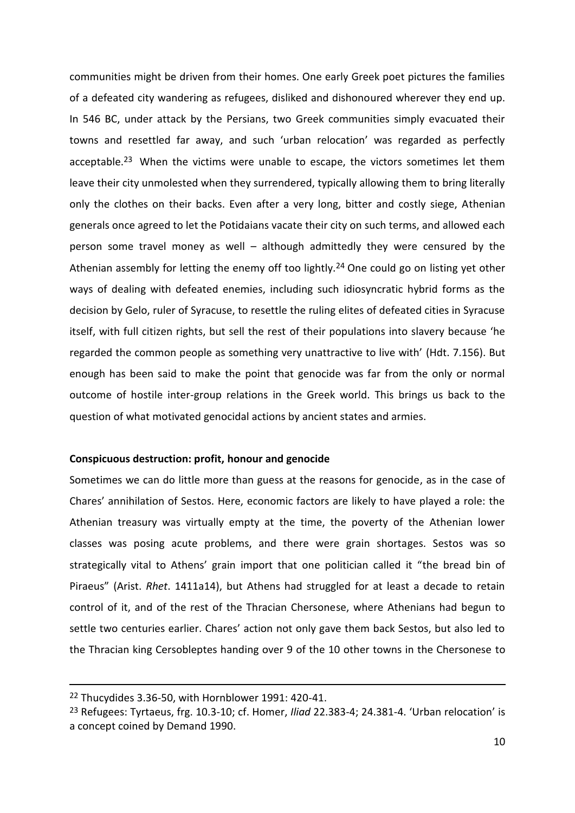communities might be driven from their homes. One early Greek poet pictures the families of a defeated city wandering as refugees, disliked and dishonoured wherever they end up. In 546 BC, under attack by the Persians, two Greek communities simply evacuated their towns and resettled far away, and such 'urban relocation' was regarded as perfectly acceptable.23 When the victims were unable to escape, the victors sometimes let them leave their city unmolested when they surrendered, typically allowing them to bring literally only the clothes on their backs. Even after a very long, bitter and costly siege, Athenian generals once agreed to let the Potidaians vacate their city on such terms, and allowed each person some travel money as well – although admittedly they were censured by the Athenian assembly for letting the enemy off too lightly.<sup>24</sup> One could go on listing yet other ways of dealing with defeated enemies, including such idiosyncratic hybrid forms as the decision by Gelo, ruler of Syracuse, to resettle the ruling elites of defeated cities in Syracuse itself, with full citizen rights, but sell the rest of their populations into slavery because 'he regarded the common people as something very unattractive to live with' (Hdt. 7.156). But enough has been said to make the point that genocide was far from the only or normal outcome of hostile inter-group relations in the Greek world. This brings us back to the question of what motivated genocidal actions by ancient states and armies.

# **Conspicuous destruction: profit, honour and genocide**

Sometimes we can do little more than guess at the reasons for genocide, as in the case of Chares' annihilation of Sestos. Here, economic factors are likely to have played a role: the Athenian treasury was virtually empty at the time, the poverty of the Athenian lower classes was posing acute problems, and there were grain shortages. Sestos was so strategically vital to Athens' grain import that one politician called it "the bread bin of Piraeus" (Arist. *Rhet*. 1411a14), but Athens had struggled for at least a decade to retain control of it, and of the rest of the Thracian Chersonese, where Athenians had begun to settle two centuries earlier. Chares' action not only gave them back Sestos, but also led to the Thracian king Cersobleptes handing over 9 of the 10 other towns in the Chersonese to

<sup>22</sup> Thucydides 3.36-50, with Hornblower 1991: 420-41.

<sup>23</sup> Refugees: Tyrtaeus, frg. 10.3-10; cf. Homer, *Iliad* 22.383-4; 24.381-4. 'Urban relocation' is a concept coined by Demand 1990.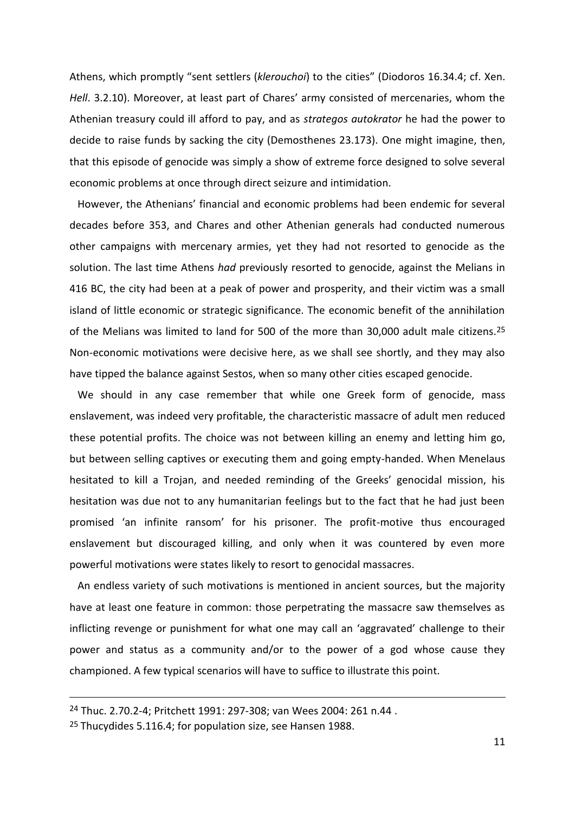Athens, which promptly "sent settlers (*klerouchoi*) to the cities" (Diodoros 16.34.4; cf. Xen. *Hell*. 3.2.10). Moreover, at least part of Chares' army consisted of mercenaries, whom the Athenian treasury could ill afford to pay, and as *strategos autokrator* he had the power to decide to raise funds by sacking the city (Demosthenes 23.173). One might imagine, then, that this episode of genocide was simply a show of extreme force designed to solve several economic problems at once through direct seizure and intimidation.

 However, the Athenians' financial and economic problems had been endemic for several decades before 353, and Chares and other Athenian generals had conducted numerous other campaigns with mercenary armies, yet they had not resorted to genocide as the solution. The last time Athens *had* previously resorted to genocide, against the Melians in 416 BC, the city had been at a peak of power and prosperity, and their victim was a small island of little economic or strategic significance. The economic benefit of the annihilation of the Melians was limited to land for 500 of the more than 30,000 adult male citizens.25 Non-economic motivations were decisive here, as we shall see shortly, and they may also have tipped the balance against Sestos, when so many other cities escaped genocide.

 We should in any case remember that while one Greek form of genocide, mass enslavement, was indeed very profitable, the characteristic massacre of adult men reduced these potential profits. The choice was not between killing an enemy and letting him go, but between selling captives or executing them and going empty-handed. When Menelaus hesitated to kill a Trojan, and needed reminding of the Greeks' genocidal mission, his hesitation was due not to any humanitarian feelings but to the fact that he had just been promised 'an infinite ransom' for his prisoner. The profit-motive thus encouraged enslavement but discouraged killing, and only when it was countered by even more powerful motivations were states likely to resort to genocidal massacres.

 An endless variety of such motivations is mentioned in ancient sources, but the majority have at least one feature in common: those perpetrating the massacre saw themselves as inflicting revenge or punishment for what one may call an 'aggravated' challenge to their power and status as a community and/or to the power of a god whose cause they championed. A few typical scenarios will have to suffice to illustrate this point.

<sup>24</sup> Thuc. 2.70.2-4; Pritchett 1991: 297-308; van Wees 2004: 261 n.44 .

<sup>25</sup> Thucydides 5.116.4; for population size, see Hansen 1988.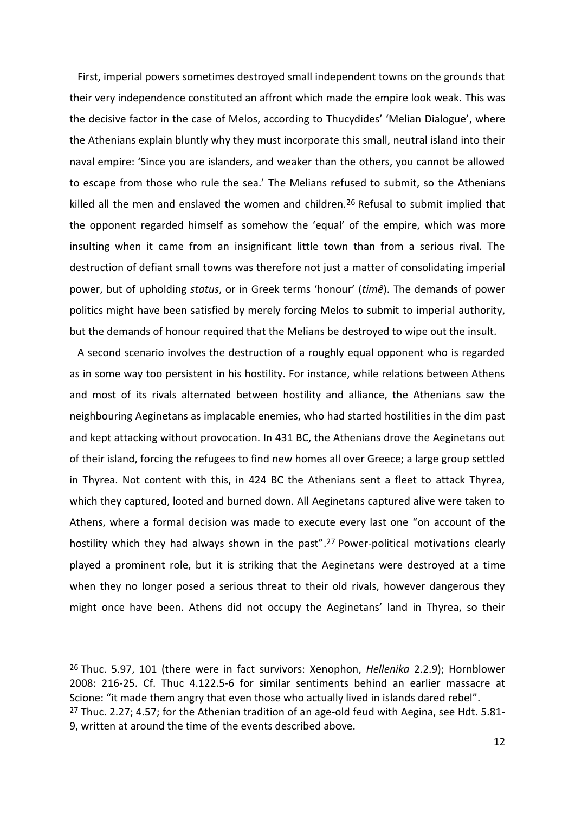First, imperial powers sometimes destroyed small independent towns on the grounds that their very independence constituted an affront which made the empire look weak. This was the decisive factor in the case of Melos, according to Thucydides' 'Melian Dialogue', where the Athenians explain bluntly why they must incorporate this small, neutral island into their naval empire: 'Since you are islanders, and weaker than the others, you cannot be allowed to escape from those who rule the sea.' The Melians refused to submit, so the Athenians killed all the men and enslaved the women and children.<sup>26</sup> Refusal to submit implied that the opponent regarded himself as somehow the 'equal' of the empire, which was more insulting when it came from an insignificant little town than from a serious rival. The destruction of defiant small towns was therefore not just a matter of consolidating imperial power, but of upholding *status*, or in Greek terms 'honour' (*timê*). The demands of power politics might have been satisfied by merely forcing Melos to submit to imperial authority, but the demands of honour required that the Melians be destroyed to wipe out the insult.

 A second scenario involves the destruction of a roughly equal opponent who is regarded as in some way too persistent in his hostility. For instance, while relations between Athens and most of its rivals alternated between hostility and alliance, the Athenians saw the neighbouring Aeginetans as implacable enemies, who had started hostilities in the dim past and kept attacking without provocation. In 431 BC, the Athenians drove the Aeginetans out of their island, forcing the refugees to find new homes all over Greece; a large group settled in Thyrea. Not content with this, in 424 BC the Athenians sent a fleet to attack Thyrea, which they captured, looted and burned down. All Aeginetans captured alive were taken to Athens, where a formal decision was made to execute every last one "on account of the hostility which they had always shown in the past".<sup>27</sup> Power-political motivations clearly played a prominent role, but it is striking that the Aeginetans were destroyed at a time when they no longer posed a serious threat to their old rivals, however dangerous they might once have been. Athens did not occupy the Aeginetans' land in Thyrea, so their

<sup>26</sup> Thuc. 5.97, 101 (there were in fact survivors: Xenophon, *Hellenika* 2.2.9); Hornblower 2008: 216-25. Cf. Thuc 4.122.5-6 for similar sentiments behind an earlier massacre at Scione: "it made them angry that even those who actually lived in islands dared rebel". <sup>27</sup> Thuc. 2.27; 4.57; for the Athenian tradition of an age-old feud with Aegina, see Hdt. 5.81-9, written at around the time of the events described above.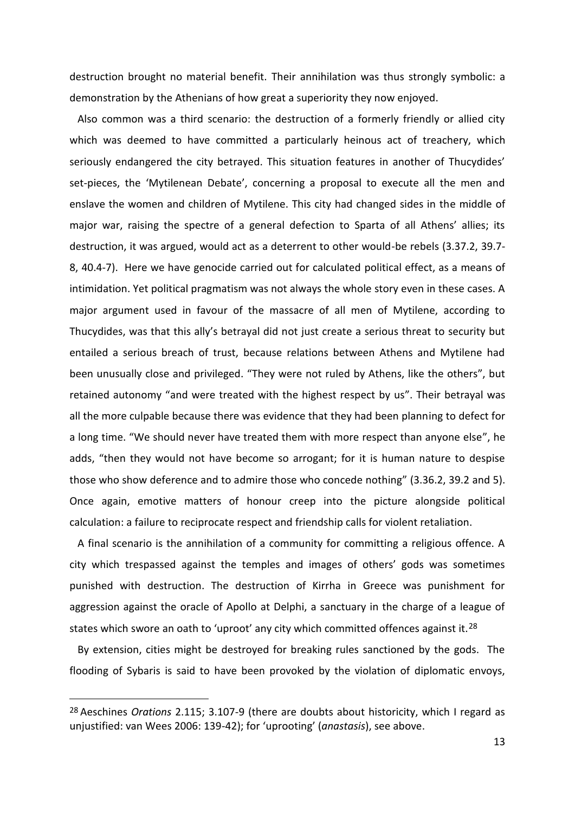destruction brought no material benefit. Their annihilation was thus strongly symbolic: a demonstration by the Athenians of how great a superiority they now enjoyed.

 Also common was a third scenario: the destruction of a formerly friendly or allied city which was deemed to have committed a particularly heinous act of treachery, which seriously endangered the city betrayed. This situation features in another of Thucydides' set-pieces, the 'Mytilenean Debate', concerning a proposal to execute all the men and enslave the women and children of Mytilene. This city had changed sides in the middle of major war, raising the spectre of a general defection to Sparta of all Athens' allies; its destruction, it was argued, would act as a deterrent to other would-be rebels (3.37.2, 39.7- 8, 40.4-7). Here we have genocide carried out for calculated political effect, as a means of intimidation. Yet political pragmatism was not always the whole story even in these cases. A major argument used in favour of the massacre of all men of Mytilene, according to Thucydides, was that this ally's betrayal did not just create a serious threat to security but entailed a serious breach of trust, because relations between Athens and Mytilene had been unusually close and privileged. "They were not ruled by Athens, like the others", but retained autonomy "and were treated with the highest respect by us". Their betrayal was all the more culpable because there was evidence that they had been planning to defect for a long time. "We should never have treated them with more respect than anyone else", he adds, "then they would not have become so arrogant; for it is human nature to despise those who show deference and to admire those who concede nothing" (3.36.2, 39.2 and 5). Once again, emotive matters of honour creep into the picture alongside political calculation: a failure to reciprocate respect and friendship calls for violent retaliation.

 A final scenario is the annihilation of a community for committing a religious offence. A city which trespassed against the temples and images of others' gods was sometimes punished with destruction. The destruction of Kirrha in Greece was punishment for aggression against the oracle of Apollo at Delphi, a sanctuary in the charge of a league of states which swore an oath to 'uproot' any city which committed offences against it.<sup>28</sup>

 By extension, cities might be destroyed for breaking rules sanctioned by the gods. The flooding of Sybaris is said to have been provoked by the violation of diplomatic envoys,

<u>.</u>

<sup>28</sup> Aeschines *Orations* 2.115; 3.107-9 (there are doubts about historicity, which I regard as unjustified: van Wees 2006: 139-42); for 'uprooting' (*anastasis*), see above.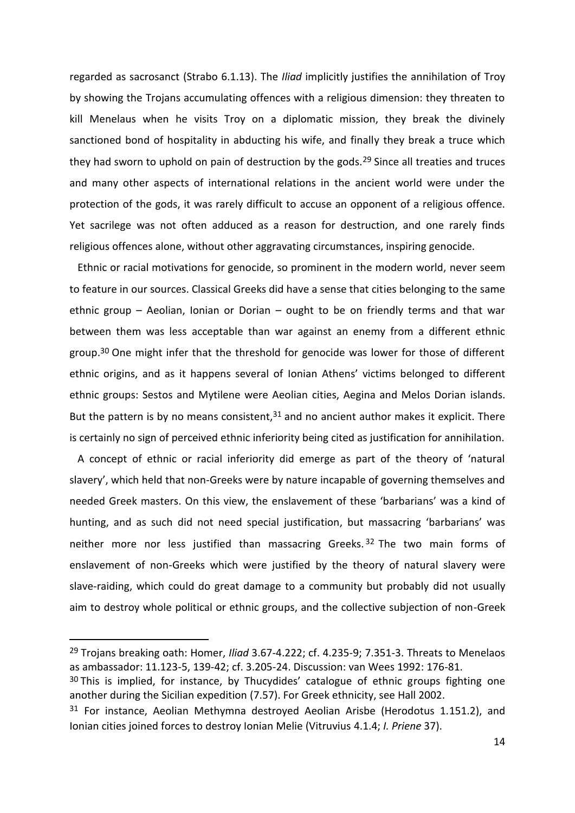regarded as sacrosanct (Strabo 6.1.13). The *Iliad* implicitly justifies the annihilation of Troy by showing the Trojans accumulating offences with a religious dimension: they threaten to kill Menelaus when he visits Troy on a diplomatic mission, they break the divinely sanctioned bond of hospitality in abducting his wife, and finally they break a truce which they had sworn to uphold on pain of destruction by the gods.<sup>29</sup> Since all treaties and truces and many other aspects of international relations in the ancient world were under the protection of the gods, it was rarely difficult to accuse an opponent of a religious offence. Yet sacrilege was not often adduced as a reason for destruction, and one rarely finds religious offences alone, without other aggravating circumstances, inspiring genocide.

 Ethnic or racial motivations for genocide, so prominent in the modern world, never seem to feature in our sources. Classical Greeks did have a sense that cities belonging to the same ethnic group – Aeolian, Ionian or Dorian – ought to be on friendly terms and that war between them was less acceptable than war against an enemy from a different ethnic group.<sup>30</sup> One might infer that the threshold for genocide was lower for those of different ethnic origins, and as it happens several of Ionian Athens' victims belonged to different ethnic groups: Sestos and Mytilene were Aeolian cities, Aegina and Melos Dorian islands. But the pattern is by no means consistent,  $31$  and no ancient author makes it explicit. There is certainly no sign of perceived ethnic inferiority being cited as justification for annihilation.

 A concept of ethnic or racial inferiority did emerge as part of the theory of 'natural slavery', which held that non-Greeks were by nature incapable of governing themselves and needed Greek masters. On this view, the enslavement of these 'barbarians' was a kind of hunting, and as such did not need special justification, but massacring 'barbarians' was neither more nor less justified than massacring Greeks.<sup>32</sup> The two main forms of enslavement of non-Greeks which were justified by the theory of natural slavery were slave-raiding, which could do great damage to a community but probably did not usually aim to destroy whole political or ethnic groups, and the collective subjection of non-Greek

<sup>29</sup> Trojans breaking oath: Homer, *Iliad* 3.67-4.222; cf. 4.235-9; 7.351-3. Threats to Menelaos as ambassador: 11.123-5, 139-42; cf. 3.205-24. Discussion: van Wees 1992: 176-81.

<sup>&</sup>lt;sup>30</sup> This is implied, for instance, by Thucydides' catalogue of ethnic groups fighting one another during the Sicilian expedition (7.57). For Greek ethnicity, see Hall 2002.

 $31$  For instance, Aeolian Methymna destroyed Aeolian Arisbe (Herodotus 1.151.2), and Ionian cities joined forces to destroy Ionian Melie (Vitruvius 4.1.4; *I. Priene* 37).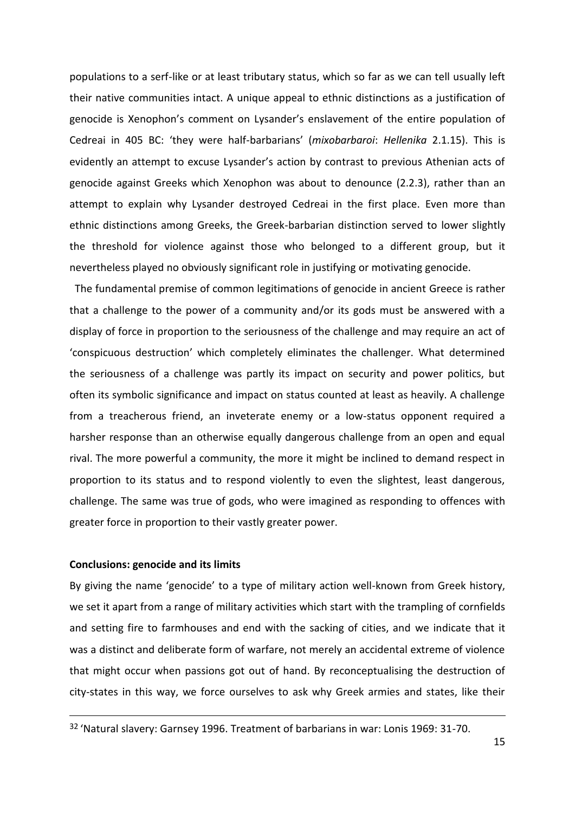populations to a serf-like or at least tributary status, which so far as we can tell usually left their native communities intact. A unique appeal to ethnic distinctions as a justification of genocide is Xenophon's comment on Lysander's enslavement of the entire population of Cedreai in 405 BC: 'they were half-barbarians' (*mixobarbaroi*: *Hellenika* 2.1.15). This is evidently an attempt to excuse Lysander's action by contrast to previous Athenian acts of genocide against Greeks which Xenophon was about to denounce (2.2.3), rather than an attempt to explain why Lysander destroyed Cedreai in the first place. Even more than ethnic distinctions among Greeks, the Greek-barbarian distinction served to lower slightly the threshold for violence against those who belonged to a different group, but it nevertheless played no obviously significant role in justifying or motivating genocide.

 The fundamental premise of common legitimations of genocide in ancient Greece is rather that a challenge to the power of a community and/or its gods must be answered with a display of force in proportion to the seriousness of the challenge and may require an act of 'conspicuous destruction' which completely eliminates the challenger. What determined the seriousness of a challenge was partly its impact on security and power politics, but often its symbolic significance and impact on status counted at least as heavily. A challenge from a treacherous friend, an inveterate enemy or a low-status opponent required a harsher response than an otherwise equally dangerous challenge from an open and equal rival. The more powerful a community, the more it might be inclined to demand respect in proportion to its status and to respond violently to even the slightest, least dangerous, challenge. The same was true of gods, who were imagined as responding to offences with greater force in proportion to their vastly greater power.

## **Conclusions: genocide and its limits**

1

By giving the name 'genocide' to a type of military action well-known from Greek history, we set it apart from a range of military activities which start with the trampling of cornfields and setting fire to farmhouses and end with the sacking of cities, and we indicate that it was a distinct and deliberate form of warfare, not merely an accidental extreme of violence that might occur when passions got out of hand. By reconceptualising the destruction of city-states in this way, we force ourselves to ask why Greek armies and states, like their

<sup>32</sup> 'Natural slavery: Garnsey 1996. Treatment of barbarians in war: Lonis 1969: 31-70.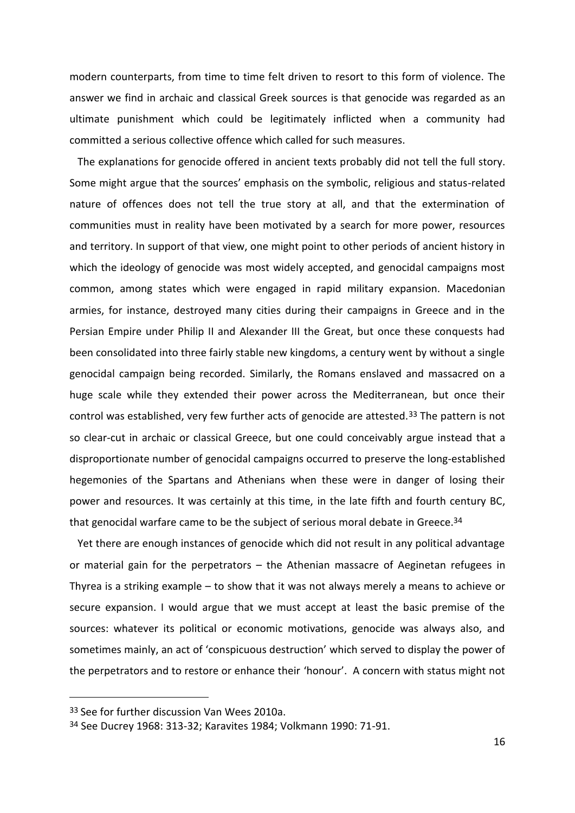modern counterparts, from time to time felt driven to resort to this form of violence. The answer we find in archaic and classical Greek sources is that genocide was regarded as an ultimate punishment which could be legitimately inflicted when a community had committed a serious collective offence which called for such measures.

 The explanations for genocide offered in ancient texts probably did not tell the full story. Some might argue that the sources' emphasis on the symbolic, religious and status-related nature of offences does not tell the true story at all, and that the extermination of communities must in reality have been motivated by a search for more power, resources and territory. In support of that view, one might point to other periods of ancient history in which the ideology of genocide was most widely accepted, and genocidal campaigns most common, among states which were engaged in rapid military expansion. Macedonian armies, for instance, destroyed many cities during their campaigns in Greece and in the Persian Empire under Philip II and Alexander III the Great, but once these conquests had been consolidated into three fairly stable new kingdoms, a century went by without a single genocidal campaign being recorded. Similarly, the Romans enslaved and massacred on a huge scale while they extended their power across the Mediterranean, but once their control was established, very few further acts of genocide are attested.<sup>33</sup> The pattern is not so clear-cut in archaic or classical Greece, but one could conceivably argue instead that a disproportionate number of genocidal campaigns occurred to preserve the long-established hegemonies of the Spartans and Athenians when these were in danger of losing their power and resources. It was certainly at this time, in the late fifth and fourth century BC, that genocidal warfare came to be the subject of serious moral debate in Greece.<sup>34</sup>

 Yet there are enough instances of genocide which did not result in any political advantage or material gain for the perpetrators – the Athenian massacre of Aeginetan refugees in Thyrea is a striking example – to show that it was not always merely a means to achieve or secure expansion. I would argue that we must accept at least the basic premise of the sources: whatever its political or economic motivations, genocide was always also, and sometimes mainly, an act of 'conspicuous destruction' which served to display the power of the perpetrators and to restore or enhance their 'honour'. A concern with status might not

<sup>33</sup> See for further discussion Van Wees 2010a.

<sup>34</sup> See Ducrey 1968: 313-32; Karavites 1984; Volkmann 1990: 71-91.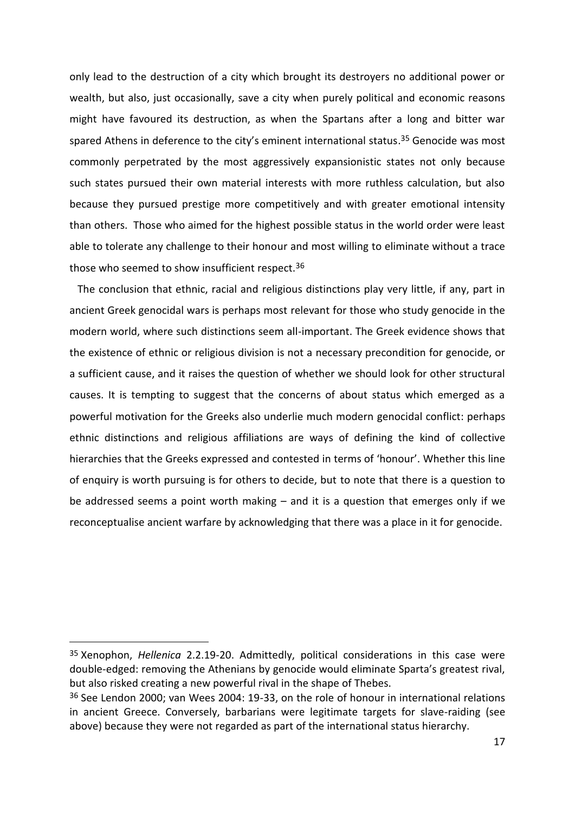only lead to the destruction of a city which brought its destroyers no additional power or wealth, but also, just occasionally, save a city when purely political and economic reasons might have favoured its destruction, as when the Spartans after a long and bitter war spared Athens in deference to the city's eminent international status. 35 Genocide was most commonly perpetrated by the most aggressively expansionistic states not only because such states pursued their own material interests with more ruthless calculation, but also because they pursued prestige more competitively and with greater emotional intensity than others. Those who aimed for the highest possible status in the world order were least able to tolerate any challenge to their honour and most willing to eliminate without a trace those who seemed to show insufficient respect.36

 The conclusion that ethnic, racial and religious distinctions play very little, if any, part in ancient Greek genocidal wars is perhaps most relevant for those who study genocide in the modern world, where such distinctions seem all-important. The Greek evidence shows that the existence of ethnic or religious division is not a necessary precondition for genocide, or a sufficient cause, and it raises the question of whether we should look for other structural causes. It is tempting to suggest that the concerns of about status which emerged as a powerful motivation for the Greeks also underlie much modern genocidal conflict: perhaps ethnic distinctions and religious affiliations are ways of defining the kind of collective hierarchies that the Greeks expressed and contested in terms of 'honour'. Whether this line of enquiry is worth pursuing is for others to decide, but to note that there is a question to be addressed seems a point worth making – and it is a question that emerges only if we reconceptualise ancient warfare by acknowledging that there was a place in it for genocide.

<sup>35</sup> Xenophon, *Hellenica* 2.2.19-20. Admittedly, political considerations in this case were double-edged: removing the Athenians by genocide would eliminate Sparta's greatest rival, but also risked creating a new powerful rival in the shape of Thebes.

<sup>36</sup> See Lendon 2000; van Wees 2004: 19-33, on the role of honour in international relations in ancient Greece. Conversely, barbarians were legitimate targets for slave-raiding (see above) because they were not regarded as part of the international status hierarchy.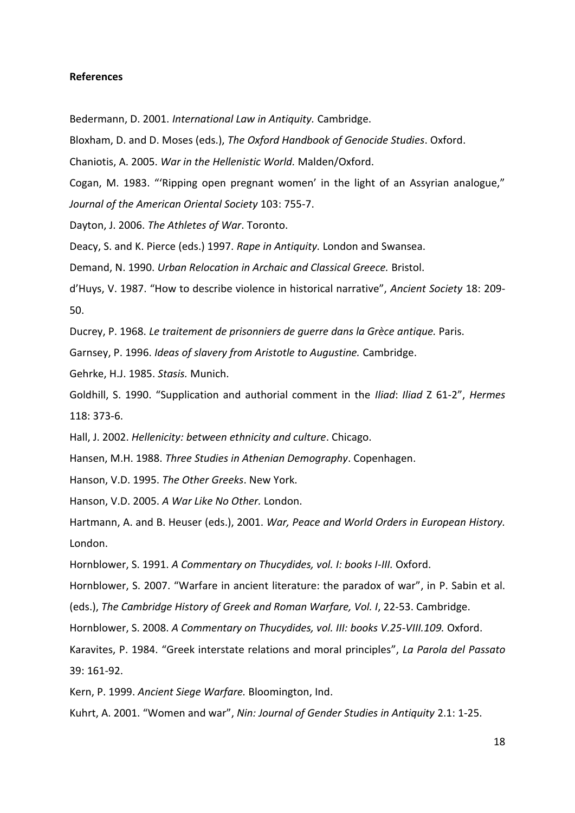### **References**

Bedermann, D. 2001. *International Law in Antiquity.* Cambridge.

Bloxham, D. and D. Moses (eds.), *The Oxford Handbook of Genocide Studies*. Oxford.

Chaniotis, A. 2005. *War in the Hellenistic World.* Malden/Oxford.

Cogan, M. 1983. "'Ripping open pregnant women' in the light of an Assyrian analogue," *Journal of the American Oriental Society* 103: 755-7.

Dayton, J. 2006. *The Athletes of War*. Toronto.

Deacy, S. and K. Pierce (eds.) 1997. *Rape in Antiquity.* London and Swansea.

Demand, N. 1990. *Urban Relocation in Archaic and Classical Greece.* Bristol.

d'Huys, V. 1987. "How to describe violence in historical narrative", *Ancient Society* 18: 209- 50.

Ducrey, P. 1968. *Le traitement de prisonniers de guerre dans la Grèce antique.* Paris.

Garnsey, P. 1996. *Ideas of slavery from Aristotle to Augustine.* Cambridge.

Gehrke, H.J. 1985. *Stasis.* Munich.

Goldhill, S. 1990. "Supplication and authorial comment in the *Iliad*: *Iliad* Z 61-2", *Hermes*  118: 373-6.

Hall, J. 2002. *Hellenicity: between ethnicity and culture*. Chicago.

Hansen, M.H. 1988. *Three Studies in Athenian Demography*. Copenhagen.

Hanson, V.D. 1995. *The Other Greeks*. New York.

Hanson, V.D. 2005. *A War Like No Other.* London.

Hartmann, A. and B. Heuser (eds.), 2001. *War, Peace and World Orders in European History.* London.

Hornblower, S. 1991. *A Commentary on Thucydides, vol. I: books I-III.* Oxford.

Hornblower, S. 2007. "Warfare in ancient literature: the paradox of war", in P. Sabin et al.

(eds.), *The Cambridge History of Greek and Roman Warfare, Vol. I*, 22-53. Cambridge.

Hornblower, S. 2008. *A Commentary on Thucydides, vol. III: books V.25-VIII.109.* Oxford.

Karavites, P. 1984. "Greek interstate relations and moral principles", *La Parola del Passato*  39: 161-92.

Kern, P. 1999. *Ancient Siege Warfare.* Bloomington, Ind.

Kuhrt, A. 2001. "Women and war", *Nin: Journal of Gender Studies in Antiquity* 2.1: 1-25.